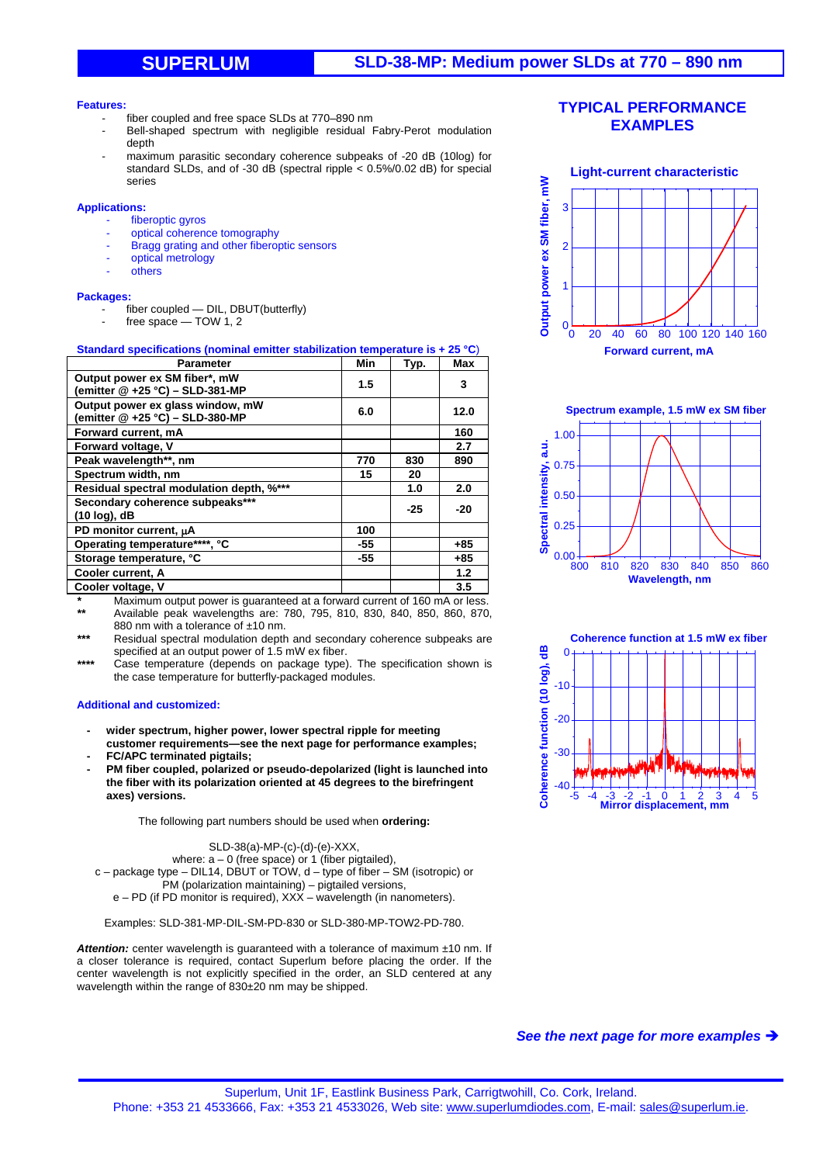# **SUPERLUM SLD-38-MP: Medium power SLDs at 770 – 890 nm**

#### **Features:**

- fiber coupled and free space SLDs at 770-890 nm
- Bell-shaped spectrum with negligible residual Fabry-Perot modulation depth
- maximum parasitic secondary coherence subpeaks of -20 dB (10log) for standard SLDs, and of -30 dB (spectral ripple < 0.5%/0.02 dB) for special series

### **Applications:**

- fiberoptic gyros
- optical coherence tomography
- Bragg grating and other fiberoptic sensors
- optical metrology
- **others**

### **Packages:**

- fiber coupled DIL, DBUT(butterfly)
	- $free space TOW 1, 2$

## **Standard specifications (nominal emitter stabilization temperature is + 25 °C**)

| <b>Parameter</b>                                                    | Min | Typ.  | Max   |
|---------------------------------------------------------------------|-----|-------|-------|
| Output power ex SM fiber*, mW<br>(emitter @ +25 °C) – SLD-381-MP    | 1.5 |       | 3     |
| Output power ex glass window, mW<br>(emitter @ +25 °C) - SLD-380-MP | 6.0 |       | 12.0  |
| Forward current, mA                                                 |     |       | 160   |
| Forward voltage, V                                                  |     |       | 2.7   |
| Peak wavelength**, nm                                               | 770 | 830   | 890   |
| Spectrum width, nm                                                  | 15  | 20    |       |
| Residual spectral modulation depth, %***                            |     | 1.0   | 2.0   |
| Secondary coherence subpeaks***<br>$(10 log)$ , dB                  |     | $-25$ | $-20$ |
| PD monitor current, µA                                              | 100 |       |       |
| Operating temperature****, °C                                       | -55 |       | $+85$ |
| Storage temperature, °C                                             | -55 |       | $+85$ |
| Cooler current, A                                                   |     |       | 1.2   |
| Cooler voltage, V                                                   |     |       | 3.5   |

*\** Maximum output power is guaranteed at a forward current of 160 mA or less. *\*\** Available peak wavelengths are: 780, 795, 810, 830, 840, 850, 860, 870,

880 nm with a tolerance of ±10 nm.

Residual spectral modulation depth and secondary coherence subpeaks are specified at an output power of 1.5 mW ex fiber.

*\*\*\*\** Case temperature (depends on package type). The specification shown is the case temperature for butterfly-packaged modules.

#### **Additional and customized:**

- **wider spectrum, higher power, lower spectral ripple for meeting customer requirements—see the next page for performance examples;**
- **FC/APC terminated pigtails;**
- **PM fiber coupled, polarized or pseudo-depolarized (light is launched into the fiber with its polarization oriented at 45 degrees to the birefringent axes) versions.**

The following part numbers should be used when **ordering:** 

SLD-38(a)-MP-(c)-(d)-(e)-XXX,

where:  $a - 0$  (free space) or 1 (fiber pigtailed),

c – package type – DIL14, DBUT or TOW, d – type of fiber – SM (isotropic) or PM (polarization maintaining) – pigtailed versions,

e – PD (if PD monitor is required), XXX – wavelength (in nanometers).

Examples: SLD-381-MP-DIL-SM-PD-830 or SLD-380-MP-TOW2-PD-780.

Attention: center wavelength is guaranteed with a tolerance of maximum ±10 nm. If a closer tolerance is required, contact Superlum before placing the order. If the center wavelength is not explicitly specified in the order, an SLD centered at any wavelength within the range of 830±20 nm may be shipped.

## **TYPICAL PERFORMANCE EXAMPLES**









*See the next page for more examples*